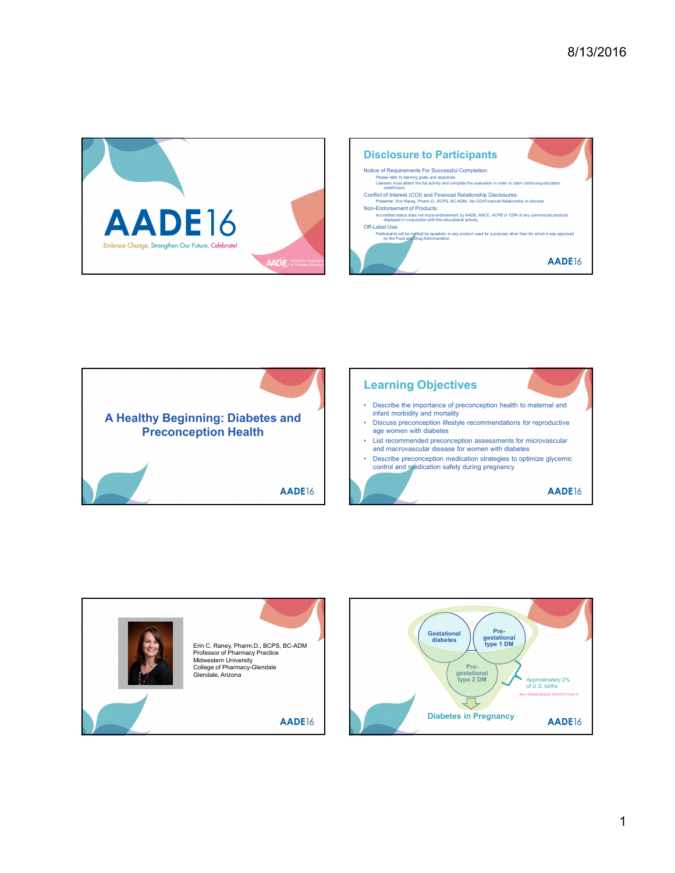







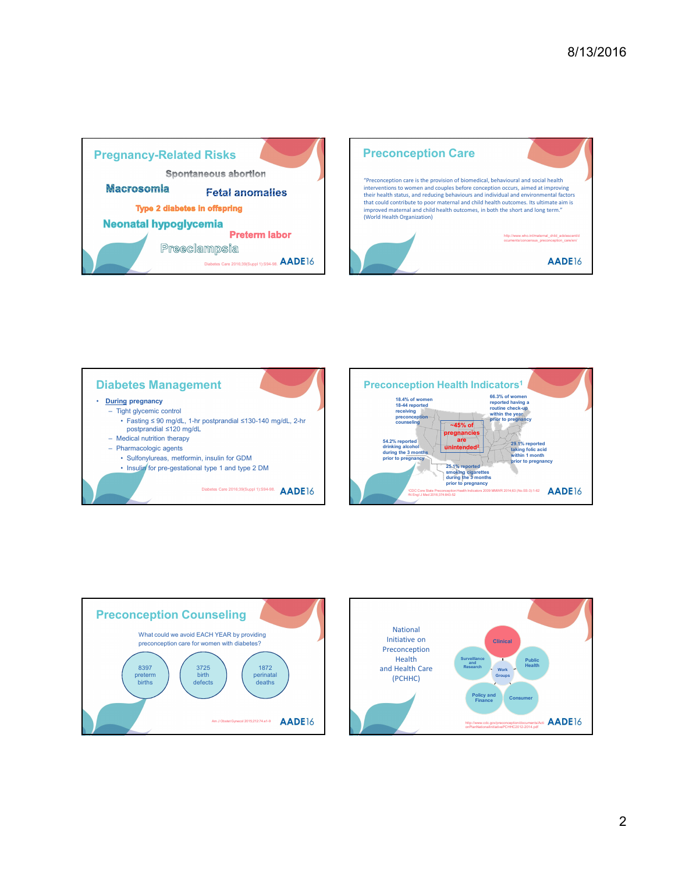







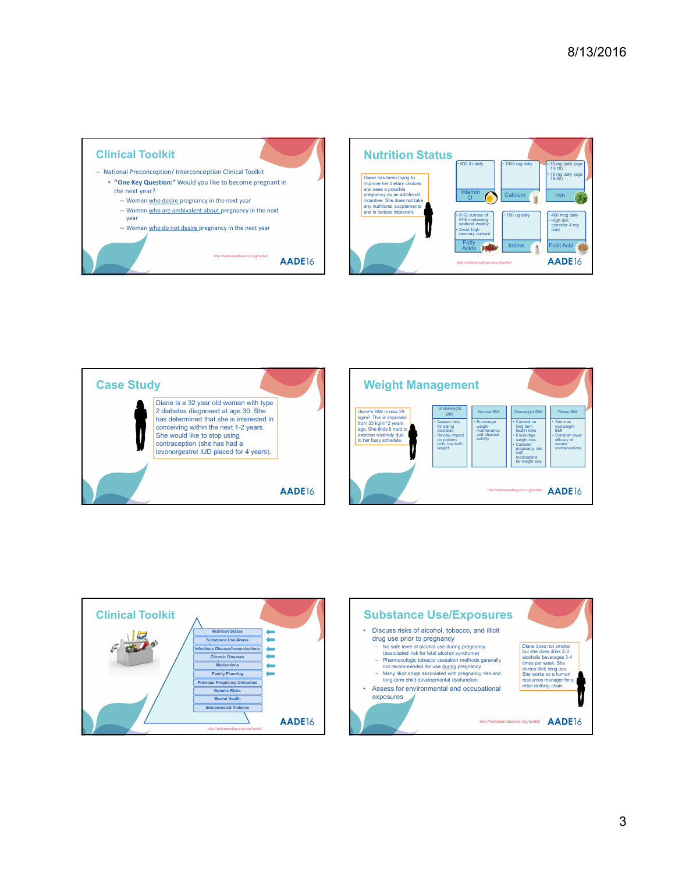









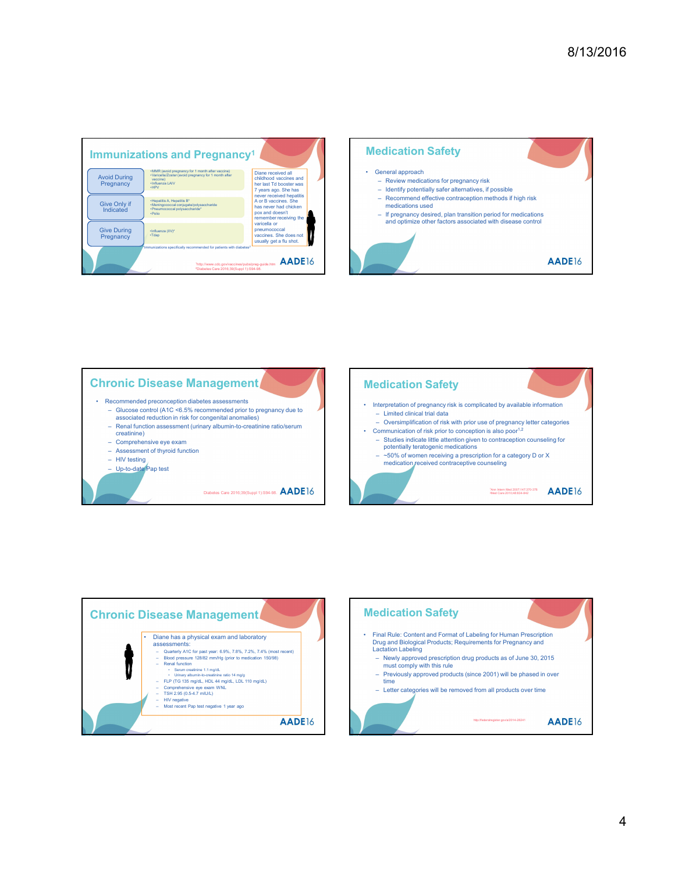







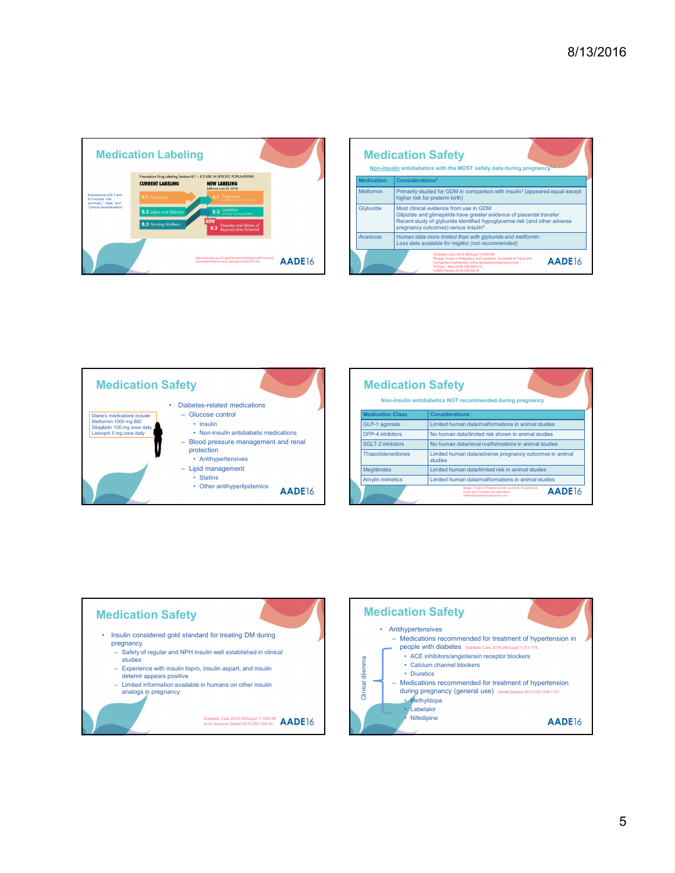

| 8/13/2016<br><b>Medication Safety</b><br>Non-insulin antidiabetics with the MOST safety data during pregnancy <sup>t,</sup><br><b>Medication</b><br>Considerations <sup>2</sup><br>Metformin<br>Primarily studied for GDM in comparison with insulin <sup>3</sup> (appeared equal except<br>higher risk for preterm birth)<br>Most clinical evidence from use in GDM<br>Glyburide<br>Glipizide and glimepiride have greater evidence of placental transfer<br>Recent study of glyburide identified hypoglycemia risk (and other adverse<br>pregnancy outcomes) versus insulin <sup>4</sup><br>Acarbose<br>Human data more limited than with glyburide and metformin<br>Less data available for miglitol (not recommended)<br><sup>1</sup> Diabetes Care 2016;39(Suppl 1):S94-98.<br><sup>2</sup> Briggs' Drugs in Pregnancy and Lactation. Accessed at Facts and<br>AADE16<br>Comparisons eAnswers online.factsandcomparisons.com<br><sup>3</sup> N Engl J Med 2008;358:2003-15<br><sup>4</sup> JAMA Pediatr 2015;169:452-8 |  |  |  |
|-----------------------------------------------------------------------------------------------------------------------------------------------------------------------------------------------------------------------------------------------------------------------------------------------------------------------------------------------------------------------------------------------------------------------------------------------------------------------------------------------------------------------------------------------------------------------------------------------------------------------------------------------------------------------------------------------------------------------------------------------------------------------------------------------------------------------------------------------------------------------------------------------------------------------------------------------------------------------------------------------------------------------------|--|--|--|
|                                                                                                                                                                                                                                                                                                                                                                                                                                                                                                                                                                                                                                                                                                                                                                                                                                                                                                                                                                                                                             |  |  |  |
|                                                                                                                                                                                                                                                                                                                                                                                                                                                                                                                                                                                                                                                                                                                                                                                                                                                                                                                                                                                                                             |  |  |  |
|                                                                                                                                                                                                                                                                                                                                                                                                                                                                                                                                                                                                                                                                                                                                                                                                                                                                                                                                                                                                                             |  |  |  |
|                                                                                                                                                                                                                                                                                                                                                                                                                                                                                                                                                                                                                                                                                                                                                                                                                                                                                                                                                                                                                             |  |  |  |
|                                                                                                                                                                                                                                                                                                                                                                                                                                                                                                                                                                                                                                                                                                                                                                                                                                                                                                                                                                                                                             |  |  |  |
|                                                                                                                                                                                                                                                                                                                                                                                                                                                                                                                                                                                                                                                                                                                                                                                                                                                                                                                                                                                                                             |  |  |  |
|                                                                                                                                                                                                                                                                                                                                                                                                                                                                                                                                                                                                                                                                                                                                                                                                                                                                                                                                                                                                                             |  |  |  |
|                                                                                                                                                                                                                                                                                                                                                                                                                                                                                                                                                                                                                                                                                                                                                                                                                                                                                                                                                                                                                             |  |  |  |
|                                                                                                                                                                                                                                                                                                                                                                                                                                                                                                                                                                                                                                                                                                                                                                                                                                                                                                                                                                                                                             |  |  |  |
|                                                                                                                                                                                                                                                                                                                                                                                                                                                                                                                                                                                                                                                                                                                                                                                                                                                                                                                                                                                                                             |  |  |  |
|                                                                                                                                                                                                                                                                                                                                                                                                                                                                                                                                                                                                                                                                                                                                                                                                                                                                                                                                                                                                                             |  |  |  |
|                                                                                                                                                                                                                                                                                                                                                                                                                                                                                                                                                                                                                                                                                                                                                                                                                                                                                                                                                                                                                             |  |  |  |
|                                                                                                                                                                                                                                                                                                                                                                                                                                                                                                                                                                                                                                                                                                                                                                                                                                                                                                                                                                                                                             |  |  |  |
|                                                                                                                                                                                                                                                                                                                                                                                                                                                                                                                                                                                                                                                                                                                                                                                                                                                                                                                                                                                                                             |  |  |  |
|                                                                                                                                                                                                                                                                                                                                                                                                                                                                                                                                                                                                                                                                                                                                                                                                                                                                                                                                                                                                                             |  |  |  |
|                                                                                                                                                                                                                                                                                                                                                                                                                                                                                                                                                                                                                                                                                                                                                                                                                                                                                                                                                                                                                             |  |  |  |
|                                                                                                                                                                                                                                                                                                                                                                                                                                                                                                                                                                                                                                                                                                                                                                                                                                                                                                                                                                                                                             |  |  |  |
|                                                                                                                                                                                                                                                                                                                                                                                                                                                                                                                                                                                                                                                                                                                                                                                                                                                                                                                                                                                                                             |  |  |  |





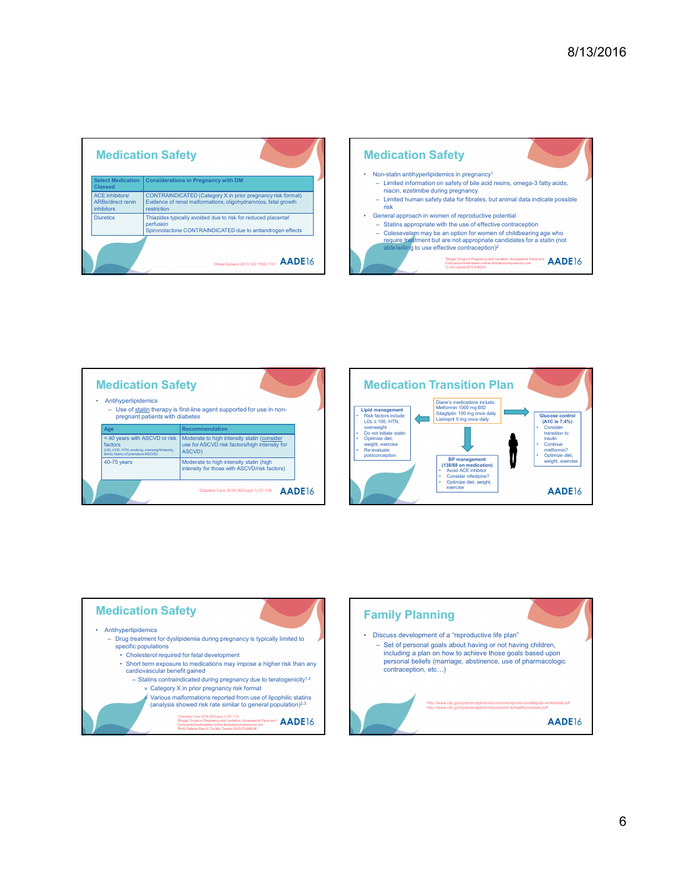| <b>Medication Safety</b>                                                                                                                  |                                 |                                                                                                                                                                                                                                                                                                            |                                          |                                                                                               | <b>Medication Safety</b>                                                                                                                                                                                                                                                                                                                                                                                                                                                                                                                                                                                                                                                                                          |  |
|-------------------------------------------------------------------------------------------------------------------------------------------|---------------------------------|------------------------------------------------------------------------------------------------------------------------------------------------------------------------------------------------------------------------------------------------------------------------------------------------------------|------------------------------------------|-----------------------------------------------------------------------------------------------|-------------------------------------------------------------------------------------------------------------------------------------------------------------------------------------------------------------------------------------------------------------------------------------------------------------------------------------------------------------------------------------------------------------------------------------------------------------------------------------------------------------------------------------------------------------------------------------------------------------------------------------------------------------------------------------------------------------------|--|
| <b>Select Medication</b><br><b>Classed</b><br><b>ACE</b> inhibitors/<br><b>ARBs/direct renin</b><br><i>inhibitors</i><br><b>Diuretics</b> | restriction<br>perfusion        | <b>Considerations in Pregnancy with DM</b><br>CONTRAINDICATED (Category X in prior pregnancy risk format)<br>Evidence of renal malformations, oligohydramnios, fetal growth<br>Thiazides typically avoided due to risk for reduced placental<br>Spironolactone CONTRAINDICATED due to antiandrogen effects | Obstet Gynecol 2013;122:1122-1131 AADE16 | risk                                                                                          | Non-statin antihyperlipidemics in pregnancy <sup>1</sup><br>- Limited information on safety of bile acid resins, omega-3<br>niacin, ezetimibe during pregnancy<br>- Limited human safety data for fibrates, but animal data inc<br>General approach in women of reproductive potential<br>- Statins appropriate with the use of effective contraception<br>Colesevelam may be an option for women of childbearing<br>require treatment but are not appropriate candidates for a<br>able/willing to use effective contraception) <sup>2</sup><br>'Briggs' Drugs in Pregnancy and Lactation. Accessed at Facts a<br>Comparisons eAnswers online.factsandcomparisons.com<br><sup>2</sup> J Clin Lipidol 2012;6:88-91 |  |
|                                                                                                                                           |                                 |                                                                                                                                                                                                                                                                                                            |                                          |                                                                                               |                                                                                                                                                                                                                                                                                                                                                                                                                                                                                                                                                                                                                                                                                                                   |  |
| <b>Medication Safety</b>                                                                                                                  |                                 |                                                                                                                                                                                                                                                                                                            |                                          |                                                                                               | <b>Medication Transition Plan</b>                                                                                                                                                                                                                                                                                                                                                                                                                                                                                                                                                                                                                                                                                 |  |
| • Antihyperlipidemics                                                                                                                     | pregnant patients with diabetes | - Use of statin therapy is first-line agent supported for use in non-                                                                                                                                                                                                                                      |                                          | <b>Lipid management</b><br><b>Risk factors include</b>                                        | Diane's medications include:<br>Metformin 1000 mg BID<br>Sitagliptin 100 mg once daily<br>Lisinopril 5 mg once daily                                                                                                                                                                                                                                                                                                                                                                                                                                                                                                                                                                                              |  |
| Age                                                                                                                                       |                                 | <b>Recommendation</b>                                                                                                                                                                                                                                                                                      |                                          | $LDL \geq 100$ . HTN.<br>overweight                                                           |                                                                                                                                                                                                                                                                                                                                                                                                                                                                                                                                                                                                                                                                                                                   |  |
| < 40 years with ASCVD or risk<br>factors<br>(LDL ≥100, HTN, smoking, overweight/obesity,<br>family history of premature ASCVD)            |                                 | Moderate to high intensity statin (consider<br>use for ASCVD risk factors/high intensity for<br><b>ASCVD)</b>                                                                                                                                                                                              |                                          | Do not initiate statin<br>Optimize diet.<br>weight, exercise<br>Re-evaluate<br>postconception |                                                                                                                                                                                                                                                                                                                                                                                                                                                                                                                                                                                                                                                                                                                   |  |